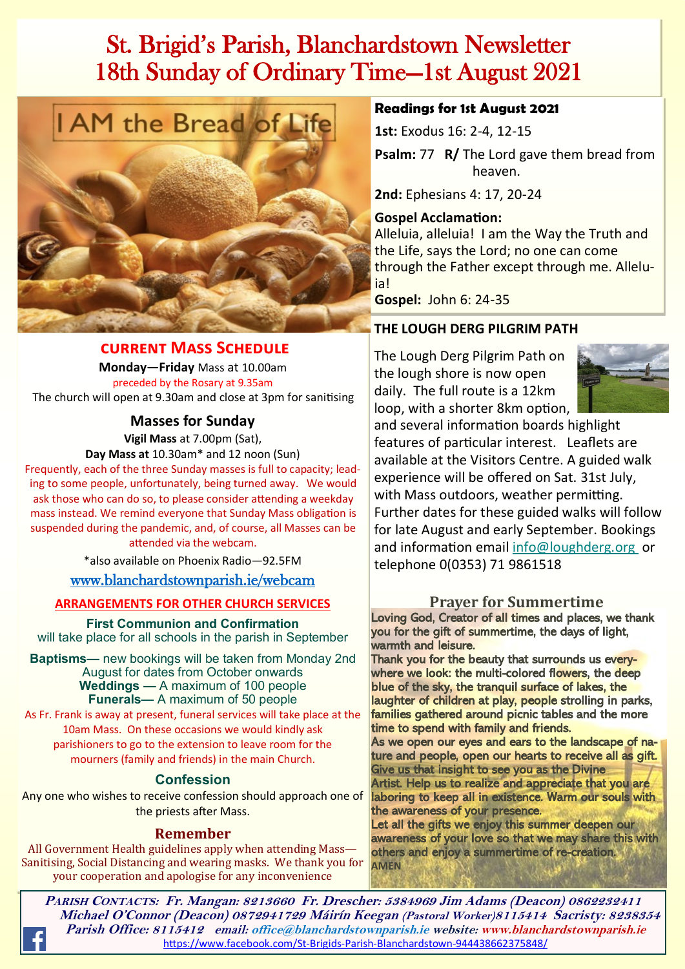# St. Brigid's Parish, Blanchardstown Newsletter 18th Sunday of Ordinary Time—1st August 2021



#### **current Mass Schedule**

**Monday—Friday** Mass at 10.00am preceded by the Rosary at 9.35am The church will open at 9.30am and close at 3pm for sanitising

**Masses for Sunday**

**Vigil Mass** at 7.00pm (Sat),

**Day Mass at** 10.30am\* and 12 noon (Sun)

Frequently, each of the three Sunday masses is full to capacity; leading to some people, unfortunately, being turned away. We would ask those who can do so, to please consider attending a weekday mass instead. We remind everyone that Sunday Mass obligation is suspended during the pandemic, and, of course, all Masses can be attended via the webcam.

\*also available on Phoenix Radio—92.5FM

#### [www.blanchardstownparish.ie/webcam](http://www.blanchardstownparish.ie/webcam)

#### **ARRANGEMENTS FOR OTHER CHURCH SERVICES**

**First Communion and Confirmation** will take place for all schools in the parish in September

**Baptisms—** new bookings will be taken from Monday 2nd August for dates from October onwards **Weddings —** A maximum of 100 people **Funerals—** A maximum of 50 people

As Fr. Frank is away at present, funeral services will take place at the 10am Mass. On these occasions we would kindly ask parishioners to go to the extension to leave room for the mourners (family and friends) in the main Church.

### **Confession**

Any one who wishes to receive confession should approach one of the priests after Mass.

### **Remember**

All Government Health guidelines apply when attending Mass— Sanitising, Social Distancing and wearing masks. We thank you for your cooperation and apologise for any inconvenience

#### **Readings for 1st August 2021**

**1st:** Exodus 16: 2-4, 12-15 **Psalm:** 77 **R/** The Lord gave them bread from heaven.

**2nd:** Ephesians 4: 17, 20-24

#### **Gospel Acclamation:**

Alleluia, alleluia! I am the Way the Truth and the Life, says the Lord; no one can come through the Father except through me. Alleluia!

**Gospel:** John 6: 24-35

### **THE LOUGH DERG PILGRIM PATH**

The Lough Derg Pilgrim Path on the lough shore is now open daily. The full route is a 12km loop, with a shorter 8km option,



and several information boards highlight features of particular interest. Leaflets are available at the Visitors Centre. A guided walk experience will be offered on Sat. 31st July, with Mass outdoors, weather permitting. Further dates for these guided walks will follow for late August and early September. Bookings and information email [info@loughderg.org](mailto:info@loughderg.org%20) or telephone 0(0353) 71 9861518

### **Prayer for Summertime**

Loving God, Creator of all times and places, we thank you for the gift of summertime, the days of light, warmth and leisure.

Thank you for the beauty that surrounds us everywhere we look: the multi-colored flowers, the deep blue of the sky, the tranquil surface of lakes, the laughter of children at play, people strolling in parks, families gathered around picnic tables and the more time to spend with family and friends.

As we open our eyes and ears to the landscape of nature and people, open our hearts to receive all as gift. Give us that insight to see you as the Divine Artist. Help us to realize and appreciate that you are laboring to keep all in existence. Warm our souls with the awareness of your presence.

*Robert Longley* Let all the gifts we enjoy this summer deepen our awareness of your love so that we may share this with others and enjoy a summertime of re-creation. **AMEN**

**PARISH CONTACTS: Fr. Mangan: 8213660 Fr. Drescher: 5384969 Jim Adams (Deacon) 0862232411 Michael O'Connor (Deacon) 0872941729 Máirín Keegan (Pastoral Worker)8115414 Sacristy: 8238354 Parish Office: 8115412 email: office@blanchardstownparish.ie website: www.blanchardstownparish.ie**  [https://www.facebook.com/St](https://www.facebook.com/St-Brigids-Parish-Blanchardstown-944438662375848/)-Brigids-Parish-Blanchardstown-944438662375848/